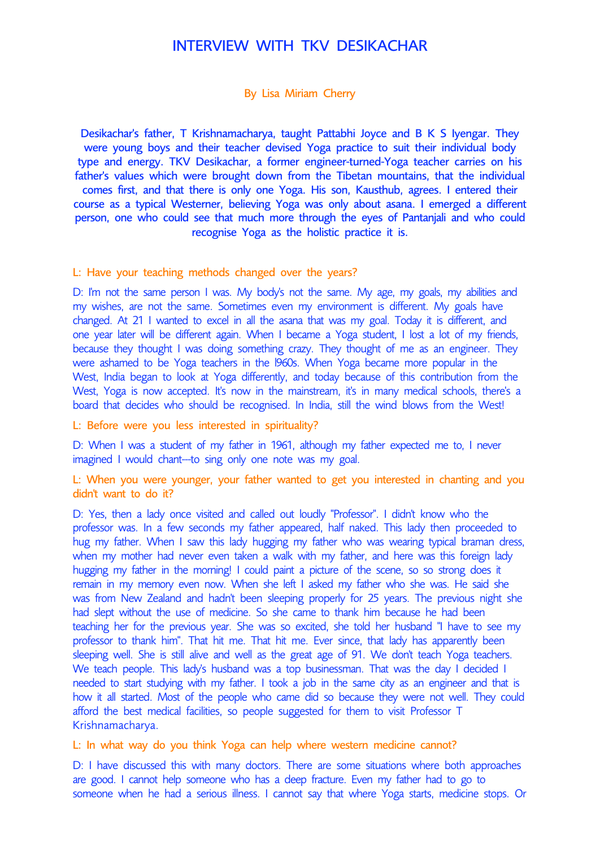## INTERVIEW WITH TKV DESIKACHAR

## By Lisa Miriam Cherry

Desikachar's father, T Krishnamacharya, taught Pattabhi Joyce and B K S Iyengar. They were young boys and their teacher devised Yoga practice to suit their individual body type and energy. TKV Desikachar, a former engineer-turned-Yoga teacher carries on his father's values which were brought down from the Tibetan mountains, that the individual comes first, and that there is only one Yoga. His son, Kausthub, agrees. I entered their course as a typical Westerner, believing Yoga was only about asana. I emerged a different person, one who could see that much more through the eyes of Pantanjali and who could recognise Yoga as the holistic practice it is.

## L: Have your teaching methods changed over the years?

D: I'm not the same person I was. My body's not the same. My age, my goals, my abilities and my wishes, are not the same. Sometimes even my environment is different. My goals have changed. At 21 I wanted to excel in all the asana that was my goal. Today it is different, and one year later will be different again. When I became a Yoga student, I lost a lot of my friends, because they thought I was doing something crazy. They thought of me as an engineer. They were ashamed to be Yoga teachers in the l960s. When Yoga became more popular in the West, India began to look at Yoga differently, and today because of this contribution from the West, Yoga is now accepted. It's now in the mainstream, it's in many medical schools, there's a board that decides who should be recognised. In India, still the wind blows from the West!

L: Before were you less interested in spirituality?

D: When I was a student of my father in 1961, although my father expected me to, I never imagined I would chant---to sing only one note was my goal.

L: When you were younger, your father wanted to get you interested in chanting and you didn't want to do it?

D: Yes, then a lady once visited and called out loudly "Professor". I didn't know who the professor was. In a few seconds my father appeared, half naked. This lady then proceeded to hug my father. When I saw this lady hugging my father who was wearing typical braman dress, when my mother had never even taken a walk with my father, and here was this foreign lady hugging my father in the morning! I could paint a picture of the scene, so so strong does it remain in my memory even now. When she left I asked my father who she was. He said she was from New Zealand and hadn't been sleeping properly for 25 years. The previous night she had slept without the use of medicine. So she came to thank him because he had been teaching her for the previous year. She was so excited, she told her husband "I have to see my professor to thank him". That hit me. That hit me. Ever since, that lady has apparently been sleeping well. She is still alive and well as the great age of 91. We don't teach Yoga teachers. We teach people. This lady's husband was a top businessman. That was the day I decided I needed to start studying with my father. I took a job in the same city as an engineer and that is how it all started. Most of the people who came did so because they were not well. They could afford the best medical facilities, so people suggested for them to visit Professor T Krishnamacharya.

L: In what way do you think Yoga can help where western medicine cannot?

D: I have discussed this with many doctors. There are some situations where both approaches are good. I cannot help someone who has a deep fracture. Even my father had to go to someone when he had a serious illness. I cannot say that where Yoga starts, medicine stops. Or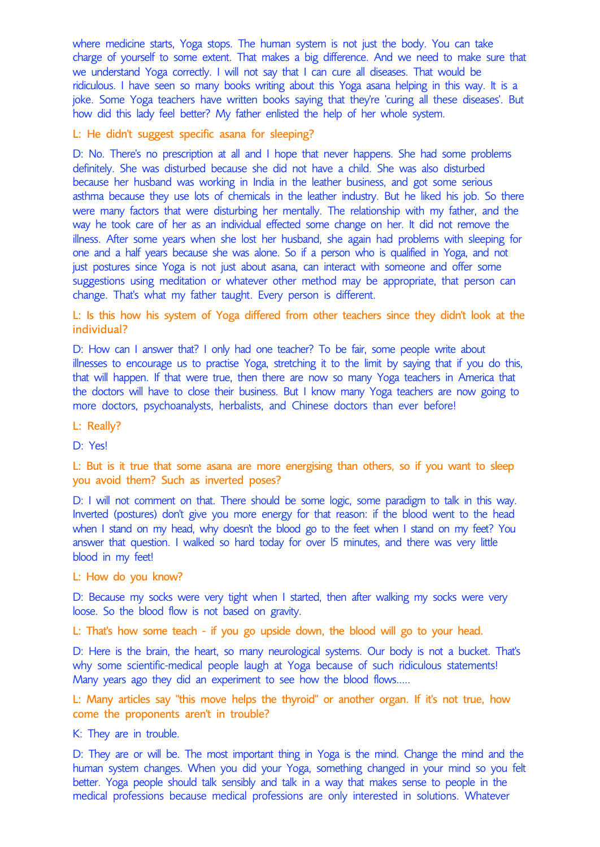where medicine starts, Yoga stops. The human system is not just the body. You can take charge of yourself to some extent. That makes a big difference. And we need to make sure that we understand Yoga correctly. I will not say that I can cure all diseases. That would be ridiculous. I have seen so many books writing about this Yoga asana helping in this way. It is a joke. Some Yoga teachers have written books saying that they're 'curing all these diseases'. But how did this lady feel better? My father enlisted the help of her whole system.

L: He didn't suggest specific asana for sleeping?

D: No. There's no prescription at all and I hope that never happens. She had some problems definitely. She was disturbed because she did not have a child. She was also disturbed because her husband was working in India in the leather business, and got some serious asthma because they use lots of chemicals in the leather industry. But he liked his job. So there were many factors that were disturbing her mentally. The relationship with my father, and the way he took care of her as an individual effected some change on her. It did not remove the illness. After some years when she lost her husband, she again had problems with sleeping for one and a half years because she was alone. So if a person who is qualified in Yoga, and not just postures since Yoga is not just about asana, can interact with someone and offer some suggestions using meditation or whatever other method may be appropriate, that person can change. That's what my father taught. Every person is different.

L: Is this how his system of Yoga differed from other teachers since they didn't look at the individual?

D: How can I answer that? I only had one teacher? To be fair, some people write about illnesses to encourage us to practise Yoga, stretching it to the limit by saying that if you do this, that will happen. If that were true, then there are now so many Yoga teachers in America that the doctors will have to close their business. But I know many Yoga teachers are now going to more doctors, psychoanalysts, herbalists, and Chinese doctors than ever before!

L: Really?

D: Yes!

L: But is it true that some asana are more energising than others, so if you want to sleep you avoid them? Such as inverted poses?

D: I will not comment on that. There should be some logic, some paradigm to talk in this way. Inverted (postures) don't give you more energy for that reason: if the blood went to the head when I stand on my head, why doesn't the blood go to the feet when I stand on my feet? You answer that question. I walked so hard today for over l5 minutes, and there was very little blood in my feet!

L: How do you know?

D: Because my socks were very tight when I started, then after walking my socks were very loose. So the blood flow is not based on gravity.

L: That's how some teach - if you go upside down, the blood will go to your head.

D: Here is the brain, the heart, so many neurological systems. Our body is not a bucket. That's why some scientific-medical people laugh at Yoga because of such ridiculous statements! Many years ago they did an experiment to see how the blood flows.....

L: Many articles say "this move helps the thyroid" or another organ. If it's not true, how come the proponents aren't in trouble?

K: They are in trouble.

D: They are or will be. The most important thing in Yoga is the mind. Change the mind and the human system changes. When you did your Yoga, something changed in your mind so you felt better. Yoga people should talk sensibly and talk in a way that makes sense to people in the medical professions because medical professions are only interested in solutions. Whatever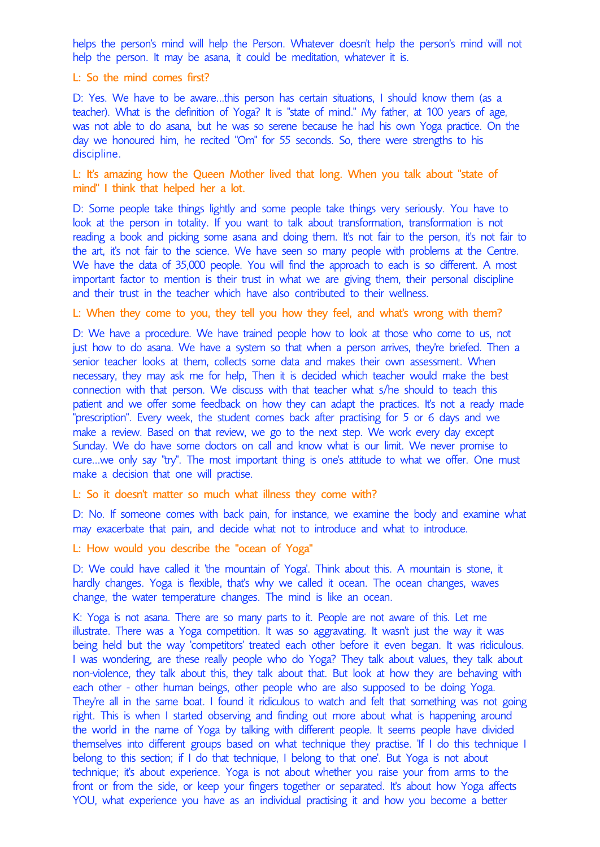helps the person's mind will help the Person. Whatever doesn't help the person's mind will not help the person. It may be asana, it could be meditation, whatever it is.

L: So the mind comes first?

D: Yes. We have to be aware...this person has certain situations, I should know them (as a teacher). What is the definition of Yoga? It is "state of mind." My father, at 100 years of age, was not able to do asana, but he was so serene because he had his own Yoga practice. On the day we honoured him, he recited "Om" for 55 seconds. So, there were strengths to his discipline.

L: It's amazing how the Queen Mother lived that long. When you talk about "state of mind" I think that helped her a lot.

D: Some people take things lightly and some people take things very seriously. You have to look at the person in totality. If you want to talk about transformation, transformation is not reading a book and picking some asana and doing them. It's not fair to the person, it's not fair to the art, it's not fair to the science. We have seen so many people with problems at the Centre. We have the data of 35,000 people. You will find the approach to each is so different. A most important factor to mention is their trust in what we are giving them, their personal discipline and their trust in the teacher which have also contributed to their wellness.

L: When they come to you, they tell you how they feel, and what's wrong with them?

D: We have a procedure. We have trained people how to look at those who come to us, not just how to do asana. We have a system so that when a person arrives, they're briefed. Then a senior teacher looks at them, collects some data and makes their own assessment. When necessary, they may ask me for help, Then it is decided which teacher would make the best connection with that person. We discuss with that teacher what s/he should to teach this patient and we offer some feedback on how they can adapt the practices. It's not a ready made "prescription". Every week, the student comes back after practising for 5 or 6 days and we make a review. Based on that review, we go to the next step. We work every day except Sunday. We do have some doctors on call and know what is our limit. We never promise to cure...we only say "try". The most important thing is one's attitude to what we offer. One must make a decision that one will practise.

L: So it doesn't matter so much what illness they come with?

D: No. If someone comes with back pain, for instance, we examine the body and examine what may exacerbate that pain, and decide what not to introduce and what to introduce.

L: How would you describe the "ocean of Yoga"

D: We could have called it 'the mountain of Yoga'. Think about this. A mountain is stone, it hardly changes. Yoga is flexible, that's why we called it ocean. The ocean changes, waves change, the water temperature changes. The mind is like an ocean.

K: Yoga is not asana. There are so many parts to it. People are not aware of this. Let me illustrate. There was a Yoga competition. It was so aggravating. It wasn't just the way it was being held but the way 'competitors' treated each other before it even began. It was ridiculous. I was wondering, are these really people who do Yoga? They talk about values, they talk about non-violence, they talk about this, they talk about that. But look at how they are behaving with each other - other human beings, other people who are also supposed to be doing Yoga. They're all in the same boat. I found it ridiculous to watch and felt that something was not going right. This is when I started observing and finding out more about what is happening around the world in the name of Yoga by talking with different people. It seems people have divided themselves into different groups based on what technique they practise. 'If I do this technique I belong to this section; if I do that technique, I belong to that one'. But Yoga is not about technique; it's about experience. Yoga is not about whether you raise your from arms to the front or from the side, or keep your fingers together or separated. It's about how Yoga affects YOU, what experience you have as an individual practising it and how you become a better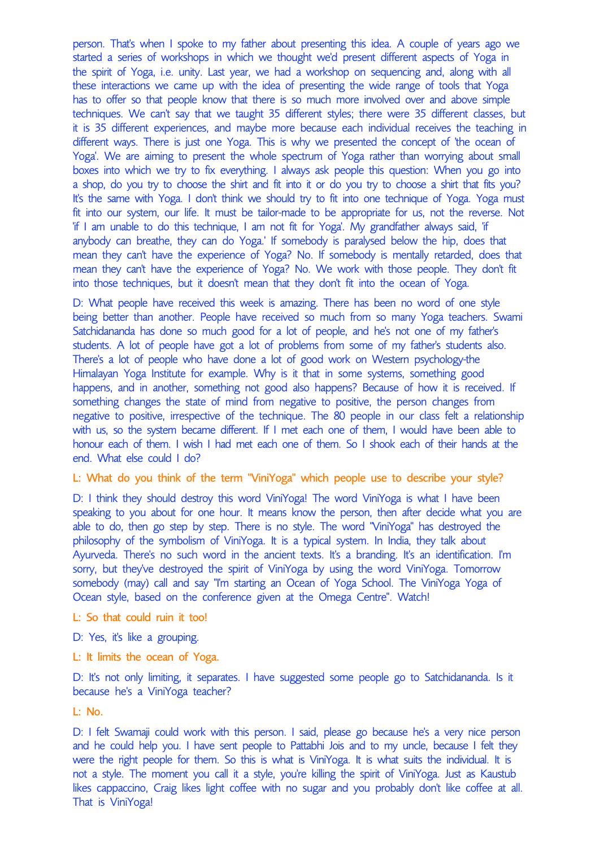person. That's when I spoke to my father about presenting this idea. A couple of years ago we started a series of workshops in which we thought we'd present different aspects of Yoga in the spirit of Yoga, i.e. unity. Last year, we had a workshop on sequencing and, along with all these interactions we came up with the idea of presenting the wide range of tools that Yoga has to offer so that people know that there is so much more involved over and above simple techniques. We can't say that we taught 35 different styles; there were 35 different classes, but it is 35 different experiences, and maybe more because each individual receives the teaching in different ways. There is just one Yoga. This is why we presented the concept of 'the ocean of Yoga'. We are aiming to present the whole spectrum of Yoga rather than worrying about small boxes into which we try to fix everything. I always ask people this question: When you go into a shop, do you try to choose the shirt and fit into it or do you try to choose a shirt that fits you? It's the same with Yoga. I don't think we should try to fit into one technique of Yoga. Yoga must fit into our system, our life. It must be tailor-made to be appropriate for us, not the reverse. Not 'if I am unable to do this technique, I am not fit for Yoga'. My grandfather always said, 'if anybody can breathe, they can do Yoga.' If somebody is paralysed below the hip, does that mean they can't have the experience of Yoga? No. If somebody is mentally retarded, does that mean they can't have the experience of Yoga? No. We work with those people. They don't fit into those techniques, but it doesn't mean that they don't fit into the ocean of Yoga.

D: What people have received this week is amazing. There has been no word of one style being better than another. People have received so much from so many Yoga teachers. Swami Satchidananda has done so much good for a lot of people, and he's not one of my father's students. A lot of people have got a lot of problems from some of my father's students also. There's a lot of people who have done a lot of good work on Western psychology-the Himalayan Yoga Institute for example. Why is it that in some systems, something good happens, and in another, something not good also happens? Because of how it is received. If something changes the state of mind from negative to positive, the person changes from negative to positive, irrespective of the technique. The 80 people in our class felt a relationship with us, so the system became different. If I met each one of them, I would have been able to honour each of them. I wish I had met each one of them. So I shook each of their hands at the end. What else could I do?

## L: What do you think of the term "ViniYoga" which people use to describe your style?

D: I think they should destroy this word ViniYoga! The word ViniYoga is what I have been speaking to you about for one hour. It means know the person, then after decide what you are able to do, then go step by step. There is no style. The word "ViniYoga" has destroyed the philosophy of the symbolism of ViniYoga. It is a typical system. In India, they talk about Ayurveda. There's no such word in the ancient texts. It's a branding. It's an identification. I'm sorry, but they've destroyed the spirit of ViniYoga by using the word ViniYoga. Tomorrow somebody (may) call and say "I'm starting an Ocean of Yoga School. The ViniYoga Yoga of Ocean style, based on the conference given at the Omega Centre". Watch!

- L: So that could ruin it too!
- D: Yes, it's like a grouping.
- L: It limits the ocean of Yoga.

D: It's not only limiting, it separates. I have suggested some people go to Satchidananda. Is it because he's a ViniYoga teacher?

L: No.

D: I felt Swamaji could work with this person. I said, please go because he's a very nice person and he could help you. I have sent people to Pattabhi Jois and to my uncle, because I felt they were the right people for them. So this is what is ViniYoga. It is what suits the individual. It is not a style. The moment you call it a style, you're killing the spirit of ViniYoga. Just as Kaustub likes cappaccino, Craig likes light coffee with no sugar and you probably don't like coffee at all. That is ViniYoga!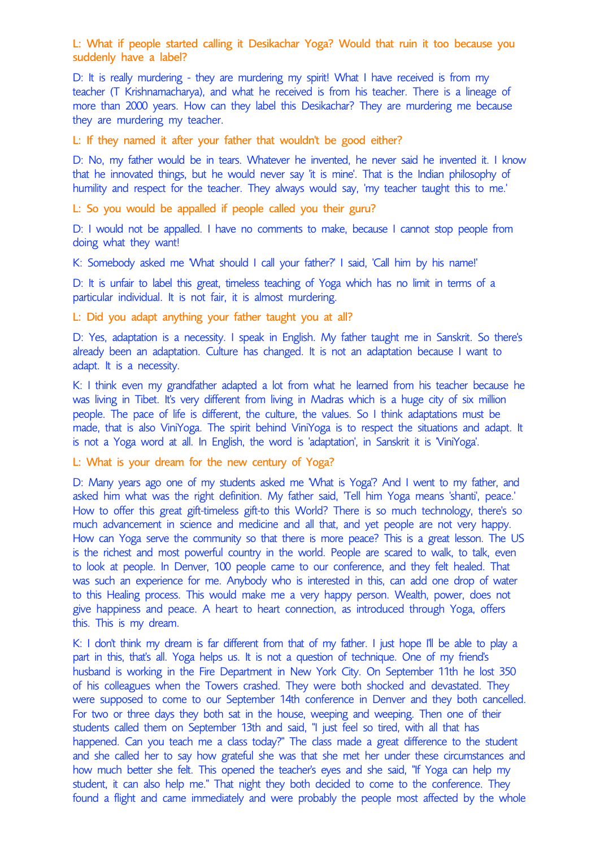L: What if people started calling it Desikachar Yoga? Would that ruin it too because you suddenly have a label?

D: It is really murdering - they are murdering my spirit! What I have received is from my teacher (T Krishnamacharya), and what he received is from his teacher. There is a lineage of more than 2000 years. How can they label this Desikachar? They are murdering me because they are murdering my teacher.

L: If they named it after your father that wouldn't be good either?

D: No, my father would be in tears. Whatever he invented, he never said he invented it. I know that he innovated things, but he would never say 'it is mine'. That is the Indian philosophy of humility and respect for the teacher. They always would say, 'my teacher taught this to me.'

L: So you would be appalled if people called you their guru?

D: I would not be appalled. I have no comments to make, because I cannot stop people from doing what they want!

K: Somebody asked me 'What should I call your father?' I said, 'Call him by his name!'

D: It is unfair to label this great, timeless teaching of Yoga which has no limit in terms of a particular individual. It is not fair, it is almost murdering.

L: Did you adapt anything your father taught you at all?

D: Yes, adaptation is a necessity. I speak in English. My father taught me in Sanskrit. So there's already been an adaptation. Culture has changed. It is not an adaptation because I want to adapt. It is a necessity.

K: I think even my grandfather adapted a lot from what he learned from his teacher because he was living in Tibet. It's very different from living in Madras which is a huge city of six million people. The pace of life is different, the culture, the values. So I think adaptations must be made, that is also ViniYoga. The spirit behind ViniYoga is to respect the situations and adapt. It is not a Yoga word at all. In English, the word is 'adaptation', in Sanskrit it is 'ViniYoga'.

L: What is your dream for the new century of Yoga?

D: Many years ago one of my students asked me 'What is Yoga'? And I went to my father, and asked him what was the right definition. My father said, 'Tell him Yoga means 'shanti', peace.' How to offer this great gift-timeless gift-to this World? There is so much technology, there's so much advancement in science and medicine and all that, and yet people are not very happy. How can Yoga serve the community so that there is more peace? This is a great lesson. The US is the richest and most powerful country in the world. People are scared to walk, to talk, even to look at people. In Denver, 100 people came to our conference, and they felt healed. That was such an experience for me. Anybody who is interested in this, can add one drop of water to this Healing process. This would make me a very happy person. Wealth, power, does not give happiness and peace. A heart to heart connection, as introduced through Yoga, offers this. This is my dream.

K: I don't think my dream is far different from that of my father. I just hope I'll be able to play a part in this, that's all. Yoga helps us. It is not a question of technique. One of my friend's husband is working in the Fire Department in New York City. On September 11th he lost 350 of his colleagues when the Towers crashed. They were both shocked and devastated. They were supposed to come to our September 14th conference in Denver and they both cancelled. For two or three days they both sat in the house, weeping and weeping. Then one of their students called them on September 13th and said, "I just feel so tired, with all that has happened. Can you teach me a class today?" The class made a great difference to the student and she called her to say how grateful she was that she met her under these circumstances and how much better she felt. This opened the teacher's eyes and she said, "If Yoga can help my student, it can also help me." That night they both decided to come to the conference. They found a flight and came immediately and were probably the people most affected by the whole